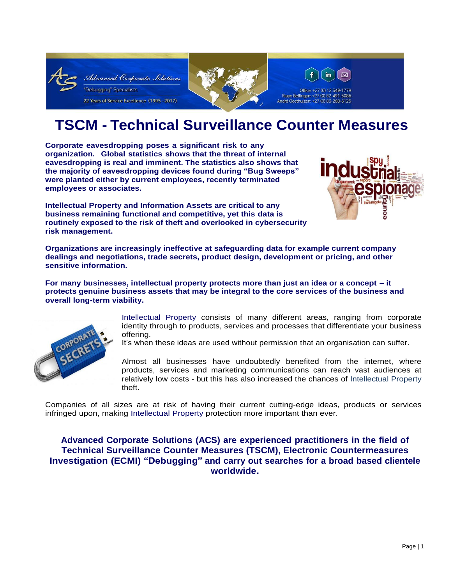





**Corporate eavesdropping poses a significant risk to any organization. Global statistics shows that the threat of internal eavesdropping is real and imminent. The statistics also shows that the majority of eavesdropping devices found during "Bug Sweeps" were planted either by current employees, recently terminated employees or associates.** 

**Intellectual Property and Information Assets are critical to any business remaining functional and competitive, yet this data is routinely exposed to the risk of theft and overlooked in cybersecurity risk management.** 



**Organizations are increasingly ineffective at safeguarding data for example current company dealings and negotiations, trade secrets, product design, development or pricing, and other sensitive information.** 

**For many businesses, intellectual property protects more than just an idea or a concept – it protects genuine business assets that may be integral to the core services of the business and overall long-term viability.** 



Intellectual Property consists of many different areas, ranging from corporate identity through to products, services and processes that differentiate your business offering.

It's when these ideas are used without permission that an organisation can suffer.

Almost all businesses have undoubtedly benefited from the internet, where products, services and marketing communications can reach vast audiences at relatively low costs - but this has also increased the chances of Intellectual Property theft.

Companies of all sizes are at risk of having their current cutting-edge ideas, products or services infringed upon, making Intellectual Property protection more important than ever.

**Advanced Corporate Solutions (ACS) are experienced practitioners in the field of Technical Surveillance Counter Measures (TSCM), Electronic Countermeasures Investigation (ECMI) "Debugging" and carry out searches for a broad based clientele worldwide.**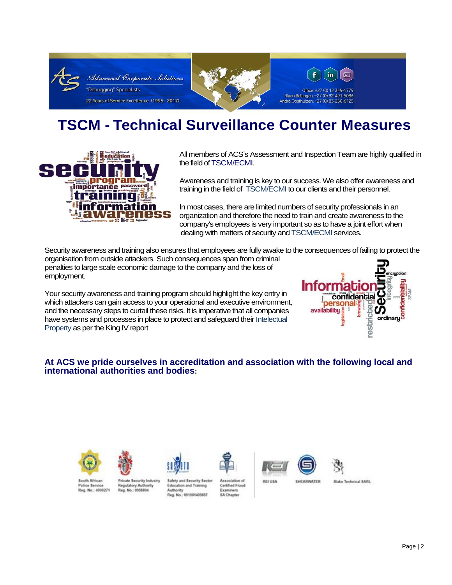



All members of ACS's Assessment and Inspection Team are highly qualified in the field of TSCM/ECMI.

Awareness and training is key to our success. We also offer awareness and training in the field of TSCM/ECMI to our clients and their personnel.

In most cases, there are limited numbers of security professionals in an organization and therefore the need to train and create awareness to the company's employees is very important so as to have a joint effort when dealing with matters of security and TSCM/ECMI services.

Security awareness and training also ensures that employees are fully awake to the consequences of failing to protect the organisation from outside attackers. Such consequences span from criminal penalties to large scale economic damage to the company and the loss of employment.

Your security awareness and training program should highlight the key entry in which attackers can gain access to your operational and executive environment, and the necessary steps to curtail these risks. It is imperative that all companies have systems and processes in place to protect and safeguard their Intelectual Property as per the King IV report



### **At ACS we pride ourselves in accreditation and association with the following local and international authorities and bodies:**







Private Security Industry legulatory As Reg. No : 0958004

rity



Reg. No.: 051901409857

**Authority** 

**Safety and Security Sector** nisting of **Education and Training** Certified Fraud

Examiners

**SA Chapte** 



SHEARWATER



Blake Technical SARL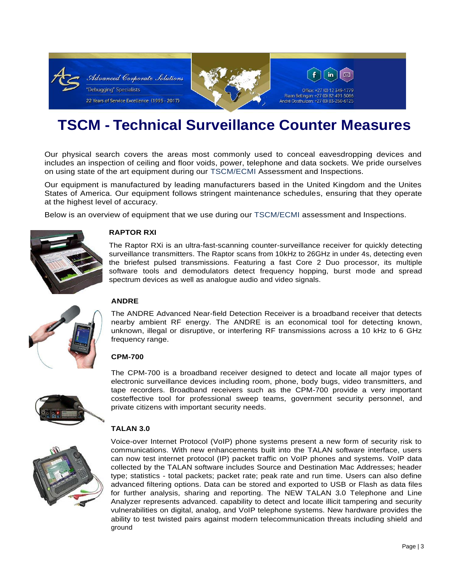

Our physical search covers the areas most commonly used to conceal eavesdropping devices and includes an inspection of ceiling and floor voids, power, telephone and data sockets. We pride ourselves on using state of the art equipment during our TSCM/ECMI Assessment and Inspections.

Our equipment is manufactured by leading manufacturers based in the United Kingdom and the Unites States of America. Our equipment follows stringent maintenance schedules, ensuring that they operate at the highest level of accuracy.

Below is an overview of equipment that we use during our TSCM/ECMI assessment and Inspections.



#### **RAPTOR RXI**

The Raptor RXi is an ultra-fast-scanning counter-surveillance receiver for quickly detecting surveillance transmitters. The Raptor scans from 10kHz to 26GHz in under 4s, detecting even the briefest pulsed transmissions. Featuring a fast Core 2 Duo processor, its multiple software tools and demodulators detect frequency hopping, burst mode and spread spectrum devices as well as analogue audio and video signals.



#### **ANDRE**

The ANDRE Advanced Near-field Detection Receiver is a broadband receiver that detects nearby ambient RF energy. The ANDRE is an economical tool for detecting known, unknown, illegal or disruptive, or interfering RF transmissions across a 10 kHz to 6 GHz frequency range.

#### **CPM-700**

The CPM-700 is a broadband receiver designed to detect and locate all major types of electronic surveillance devices including room, phone, body bugs, video transmitters, and tape recorders. Broadband receivers such as the CPM-700 provide a very important costeffective tool for professional sweep teams, government security personnel, and private citizens with important security needs.

### **TALAN 3.0**



Voice-over Internet Protocol (VoIP) phone systems present a new form of security risk to communications. With new enhancements built into the TALAN software interface, users can now test internet protocol (IP) packet traffic on VoIP phones and systems. VoIP data collected by the TALAN software includes Source and Destination Mac Addresses; header type; statistics - total packets; packet rate; peak rate and run time. Users can also define advanced filtering options. Data can be stored and exported to USB or Flash as data files for further analysis, sharing and reporting. The NEW TALAN 3.0 Telephone and Line Analyzer represents advanced. capability to detect and locate illicit tampering and security vulnerabilities on digital, analog, and VoIP telephone systems. New hardware provides the ability to test twisted pairs against modern telecommunication threats including shield and ground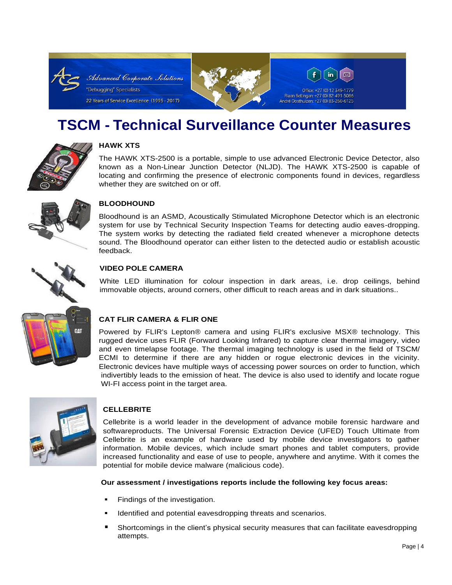





Riaan Bellingan: +27 (0) 82-491-5086

André Oosthuizen: +27 (0) 83-260-6125

# **TSCM - Technical Surveillance Counter Measures**



### **HAWK XTS**

The HAWK XTS-2500 is a portable, simple to use advanced Electronic Device Detector, also known as a Non-Linear Junction Detector (NLJD). The HAWK XTS-2500 is capable of locating and confirming the presence of electronic components found in devices, regardless whether they are switched on or off.



### **BLOODHOUND**

Bloodhound is an ASMD, Acoustically Stimulated Microphone Detector which is an electronic system for use by Technical Security Inspection Teams for detecting audio eaves-dropping. The system works by detecting the radiated field created whenever a microphone detects sound. The Bloodhound operator can either listen to the detected audio or establish acoustic feedback.



### **VIDEO POLE CAMERA**

White LED illumination for colour inspection in dark areas, i.e. drop ceilings, behind immovable objects, around corners, other difficult to reach areas and in dark situations..

### **CAT FLIR CAMERA & FLIR ONE**

Powered by FLIR's Lepton® camera and using FLIR's exclusive MSX® technology. This rugged device uses FLIR (Forward Looking Infrared) to capture clear thermal imagery, video and even timelapse footage. The thermal imaging technology is used in the field of TSCM/ ECMI to determine if there are any hidden or rogue electronic devices in the vicinity. Electronic devices have multiple ways of accessing power sources on order to function, which indivertibly leads to the emission of heat. The device is also used to identify and locate rogue WI-FI access point in the target area.



#### **CELLEBRITE**

Cellebrite is a world leader in the development of advance mobile forensic hardware and softwareproducts. The Universal Forensic Extraction Device (UFED) Touch Ultimate from Cellebrite is an example of hardware used by mobile device investigators to gather information. Mobile devices, which include smart phones and tablet computers, provide increased functionality and ease of use to people, anywhere and anytime. With it comes the potential for mobile device malware (malicious code).

**Our assessment / investigations reports include the following key focus areas:**

- Findings of the investigation.
- Identified and potential eavesdropping threats and scenarios.
- Shortcomings in the client's physical security measures that can facilitate eavesdropping attempts.